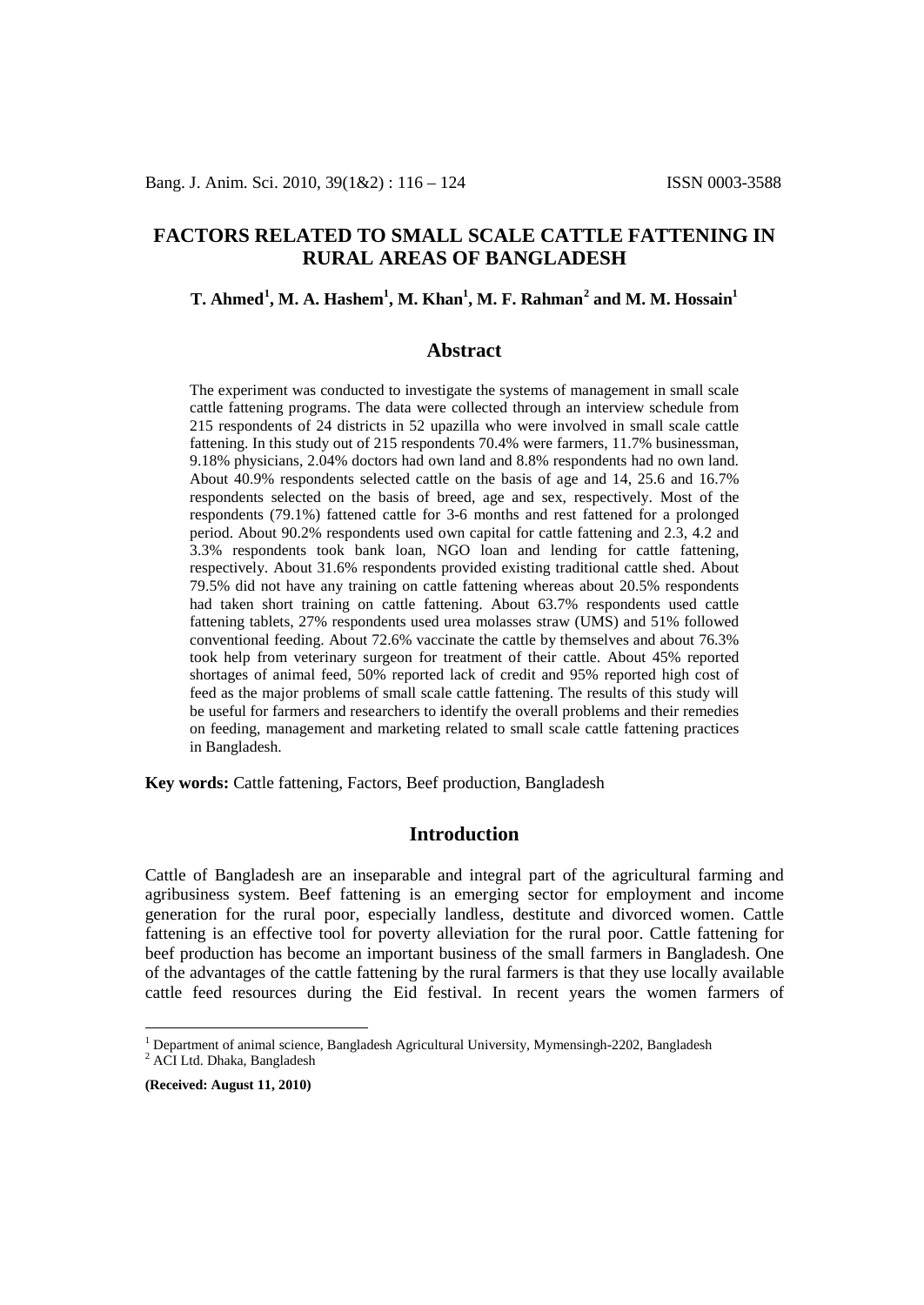# **FACTORS RELATED TO SMALL SCALE CATTLE FATTENING IN RURAL AREAS OF BANGLADESH**

# $\bf{T.}$  Ahmed<sup>[1](#page-0-0)</sup>, M. A. Hashem<sup>1</sup>, M. Khan<sup>1</sup>, M. F. Rahman<sup>[2](#page-0-1)</sup> and M. M. Hossain<sup>1</sup>

### **Abstract**

The experiment was conducted to investigate the systems of management in small scale cattle fattening programs. The data were collected through an interview schedule from 215 respondents of 24 districts in 52 upazilla who were involved in small scale cattle fattening. In this study out of 215 respondents 70.4% were farmers, 11.7% businessman, 9.18% physicians, 2.04% doctors had own land and 8.8% respondents had no own land. About 40.9% respondents selected cattle on the basis of age and 14, 25.6 and 16.7% respondents selected on the basis of breed, age and sex, respectively. Most of the respondents (79.1%) fattened cattle for 3-6 months and rest fattened for a prolonged period. About 90.2% respondents used own capital for cattle fattening and 2.3, 4.2 and 3.3% respondents took bank loan, NGO loan and lending for cattle fattening, respectively. About 31.6% respondents provided existing traditional cattle shed. About 79.5% did not have any training on cattle fattening whereas about 20.5% respondents had taken short training on cattle fattening. About 63.7% respondents used cattle fattening tablets, 27% respondents used urea molasses straw (UMS) and 51% followed conventional feeding. About 72.6% vaccinate the cattle by themselves and about 76.3% took help from veterinary surgeon for treatment of their cattle. About 45% reported shortages of animal feed, 50% reported lack of credit and 95% reported high cost of feed as the major problems of small scale cattle fattening. The results of this study will be useful for farmers and researchers to identify the overall problems and their remedies on feeding, management and marketing related to small scale cattle fattening practices in Bangladesh.

**Key words:** Cattle fattening, Factors, Beef production, Bangladesh

# **Introduction**

Cattle of Bangladesh are an inseparable and integral part of the agricultural farming and agribusiness system. Beef fattening is an emerging sector for employment and income generation for the rural poor, especially landless, destitute and divorced women. Cattle fattening is an effective tool for poverty alleviation for the rural poor. Cattle fattening for beef production has become an important business of the small farmers in Bangladesh. One of the advantages of the cattle fattening by the rural farmers is that they use locally available cattle feed resources during the Eid festival. In recent years the women farmers of

**(Received: August 11, 2010)**

<span id="page-0-1"></span><span id="page-0-0"></span> $^1$  Department of animal science, Bangladesh Agricultural University, Mymensingh-2202, Bangladesh  $^2$  ACI Ltd. Dhaka, Bangladesh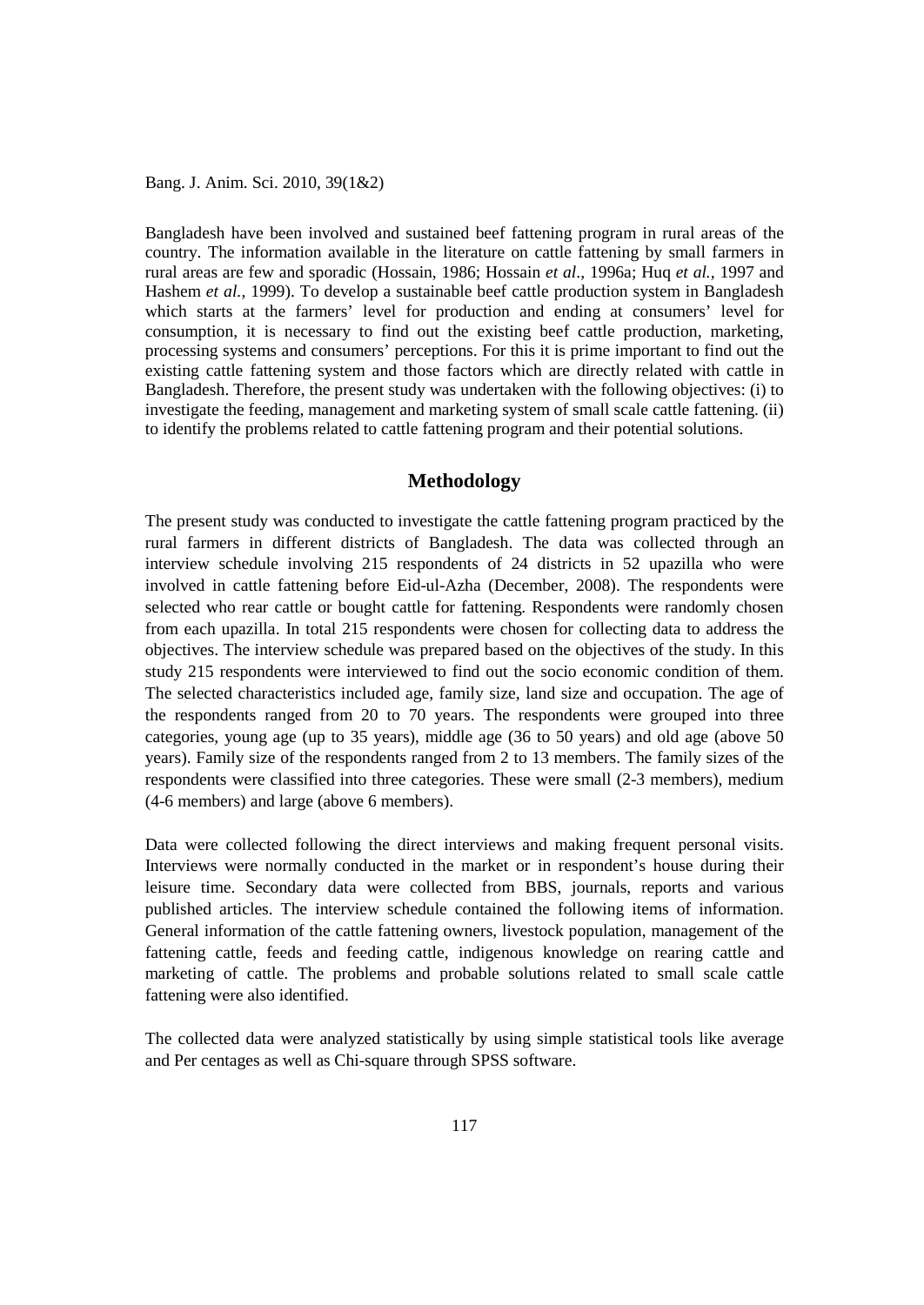Bangladesh have been involved and sustained beef fattening program in rural areas of the country. The information available in the literature on cattle fattening by small farmers in rural areas are few and sporadic (Hossain, 1986; Hossain *et al*., 1996a; Huq *et al.,* 1997 and Hashem *et al.,* 1999). To develop a sustainable beef cattle production system in Bangladesh which starts at the farmers' level for production and ending at consumers' level for consumption, it is necessary to find out the existing beef cattle production, marketing, processing systems and consumers' perceptions. For this it is prime important to find out the existing cattle fattening system and those factors which are directly related with cattle in Bangladesh. Therefore, the present study was undertaken with the following objectives: (i) to investigate the feeding, management and marketing system of small scale cattle fattening. (ii) to identify the problems related to cattle fattening program and their potential solutions.

### **Methodology**

The present study was conducted to investigate the cattle fattening program practiced by the rural farmers in different districts of Bangladesh. The data was collected through an interview schedule involving 215 respondents of 24 districts in 52 upazilla who were involved in cattle fattening before Eid-ul-Azha (December, 2008). The respondents were selected who rear cattle or bought cattle for fattening. Respondents were randomly chosen from each upazilla. In total 215 respondents were chosen for collecting data to address the objectives. The interview schedule was prepared based on the objectives of the study. In this study 215 respondents were interviewed to find out the socio economic condition of them. The selected characteristics included age, family size, land size and occupation. The age of the respondents ranged from 20 to 70 years. The respondents were grouped into three categories, young age (up to 35 years), middle age (36 to 50 years) and old age (above 50 years). Family size of the respondents ranged from 2 to 13 members. The family sizes of the respondents were classified into three categories. These were small (2-3 members), medium (4-6 members) and large (above 6 members).

Data were collected following the direct interviews and making frequent personal visits. Interviews were normally conducted in the market or in respondent's house during their leisure time. Secondary data were collected from BBS, journals, reports and various published articles. The interview schedule contained the following items of information. General information of the cattle fattening owners, livestock population, management of the fattening cattle, feeds and feeding cattle, indigenous knowledge on rearing cattle and marketing of cattle. The problems and probable solutions related to small scale cattle fattening were also identified.

The collected data were analyzed statistically by using simple statistical tools like average and Per centages as well as Chi-square through SPSS software.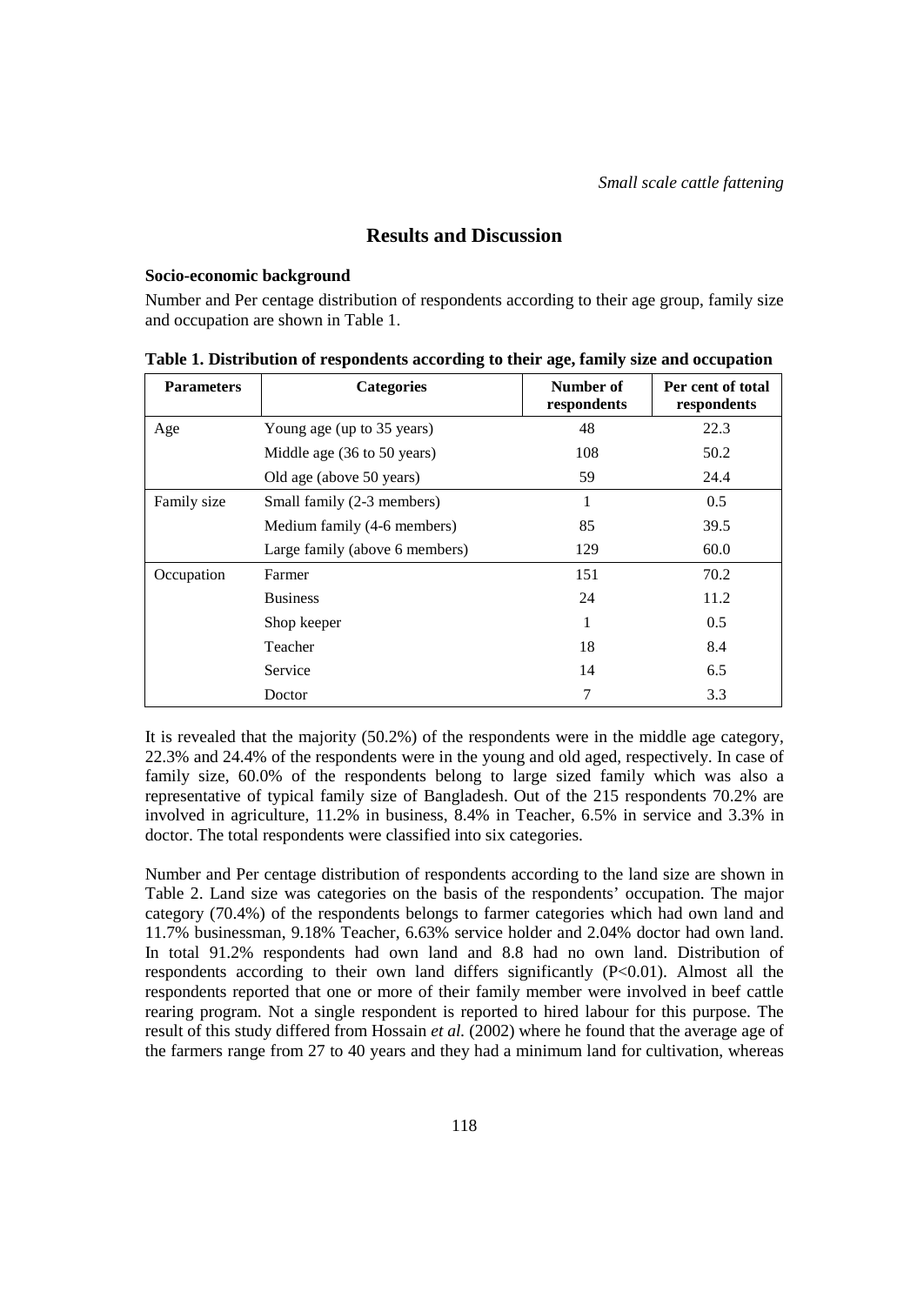# **Results and Discussion**

#### **Socio-economic background**

Number and Per centage distribution of respondents according to their age group, family size and occupation are shown in Table 1.

| <b>Parameters</b> | <b>Categories</b>              | Number of<br>respondents | Per cent of total<br>respondents |
|-------------------|--------------------------------|--------------------------|----------------------------------|
| Age               | Young age (up to 35 years)     | 48                       | 22.3                             |
|                   | Middle age (36 to 50 years)    | 108                      | 50.2                             |
|                   | Old age (above 50 years)       | 59                       | 24.4                             |
| Family size       | Small family (2-3 members)     |                          | 0.5                              |
|                   | Medium family (4-6 members)    | 85                       | 39.5                             |
|                   | Large family (above 6 members) | 129                      | 60.0                             |
| Occupation        | Farmer                         | 151                      | 70.2                             |
|                   | <b>Business</b>                | 24                       | 11.2                             |
|                   | Shop keeper                    | 1                        | 0.5                              |
|                   | Teacher                        | 18                       | 8.4                              |
|                   | Service                        | 14                       | 6.5                              |
|                   | Doctor                         | 7                        | 3.3                              |

**Table 1. Distribution of respondents according to their age, family size and occupation**

It is revealed that the majority (50.2%) of the respondents were in the middle age category, 22.3% and 24.4% of the respondents were in the young and old aged, respectively. In case of family size, 60.0% of the respondents belong to large sized family which was also a representative of typical family size of Bangladesh. Out of the 215 respondents 70.2% are involved in agriculture, 11.2% in business, 8.4% in Teacher, 6.5% in service and 3.3% in doctor. The total respondents were classified into six categories.

Number and Per centage distribution of respondents according to the land size are shown in Table 2. Land size was categories on the basis of the respondents' occupation. The major category (70.4%) of the respondents belongs to farmer categories which had own land and 11.7% businessman, 9.18% Teacher, 6.63% service holder and 2.04% doctor had own land. In total 91.2% respondents had own land and 8.8 had no own land. Distribution of respondents according to their own land differs significantly (P<0.01). Almost all the respondents reported that one or more of their family member were involved in beef cattle rearing program. Not a single respondent is reported to hired labour for this purpose. The result of this study differed from Hossain *et al.* (2002) where he found that the average age of the farmers range from 27 to 40 years and they had a minimum land for cultivation, whereas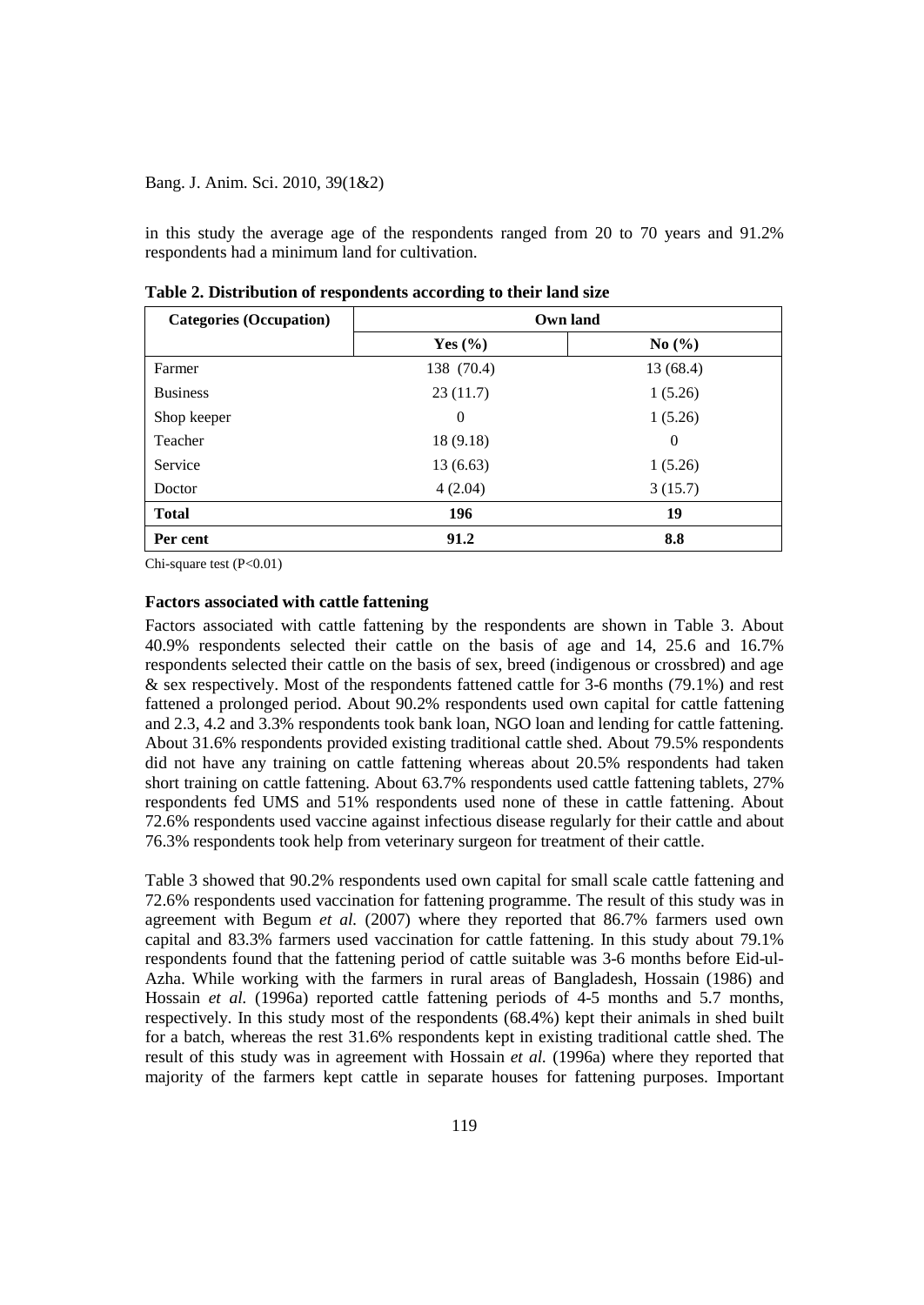in this study the average age of the respondents ranged from 20 to 70 years and 91.2% respondents had a minimum land for cultivation.

| <b>Categories (Occupation)</b> | Own land    |              |
|--------------------------------|-------------|--------------|
|                                | Yes $(\% )$ | No(%)        |
| Farmer                         | 138 (70.4)  | 13 (68.4)    |
| <b>Business</b>                | 23(11.7)    | 1(5.26)      |
| Shop keeper                    | 0           | 1(5.26)      |
| Teacher                        | 18 (9.18)   | $\mathbf{0}$ |
| Service                        | 13(6.63)    | 1(5.26)      |
| Doctor                         | 4(2.04)     | 3(15.7)      |
| <b>Total</b>                   | 196         | 19           |
| Per cent                       | 91.2        | 8.8          |

**Table 2. Distribution of respondents according to their land size** 

Chi-square test (P<0.01)

### **Factors associated with cattle fattening**

Factors associated with cattle fattening by the respondents are shown in Table 3. About 40.9% respondents selected their cattle on the basis of age and 14, 25.6 and 16.7% respondents selected their cattle on the basis of sex, breed (indigenous or crossbred) and age & sex respectively. Most of the respondents fattened cattle for 3-6 months (79.1%) and rest fattened a prolonged period. About 90.2% respondents used own capital for cattle fattening and 2.3, 4.2 and 3.3% respondents took bank loan, NGO loan and lending for cattle fattening. About 31.6% respondents provided existing traditional cattle shed. About 79.5% respondents did not have any training on cattle fattening whereas about 20.5% respondents had taken short training on cattle fattening. About 63.7% respondents used cattle fattening tablets, 27% respondents fed UMS and 51% respondents used none of these in cattle fattening. About 72.6% respondents used vaccine against infectious disease regularly for their cattle and about 76.3% respondents took help from veterinary surgeon for treatment of their cattle.

Table 3 showed that 90.2% respondents used own capital for small scale cattle fattening and 72.6% respondents used vaccination for fattening programme. The result of this study was in agreement with Begum *et al.* (2007) where they reported that 86.7% farmers used own capital and 83.3% farmers used vaccination for cattle fattening. In this study about 79.1% respondents found that the fattening period of cattle suitable was 3-6 months before Eid-ul-Azha. While working with the farmers in rural areas of Bangladesh, Hossain (1986) and Hossain *et al.* (1996a) reported cattle fattening periods of 4-5 months and 5.7 months, respectively. In this study most of the respondents (68.4%) kept their animals in shed built for a batch, whereas the rest 31.6% respondents kept in existing traditional cattle shed. The result of this study was in agreement with Hossain *et al.* (1996a) where they reported that majority of the farmers kept cattle in separate houses for fattening purposes. Important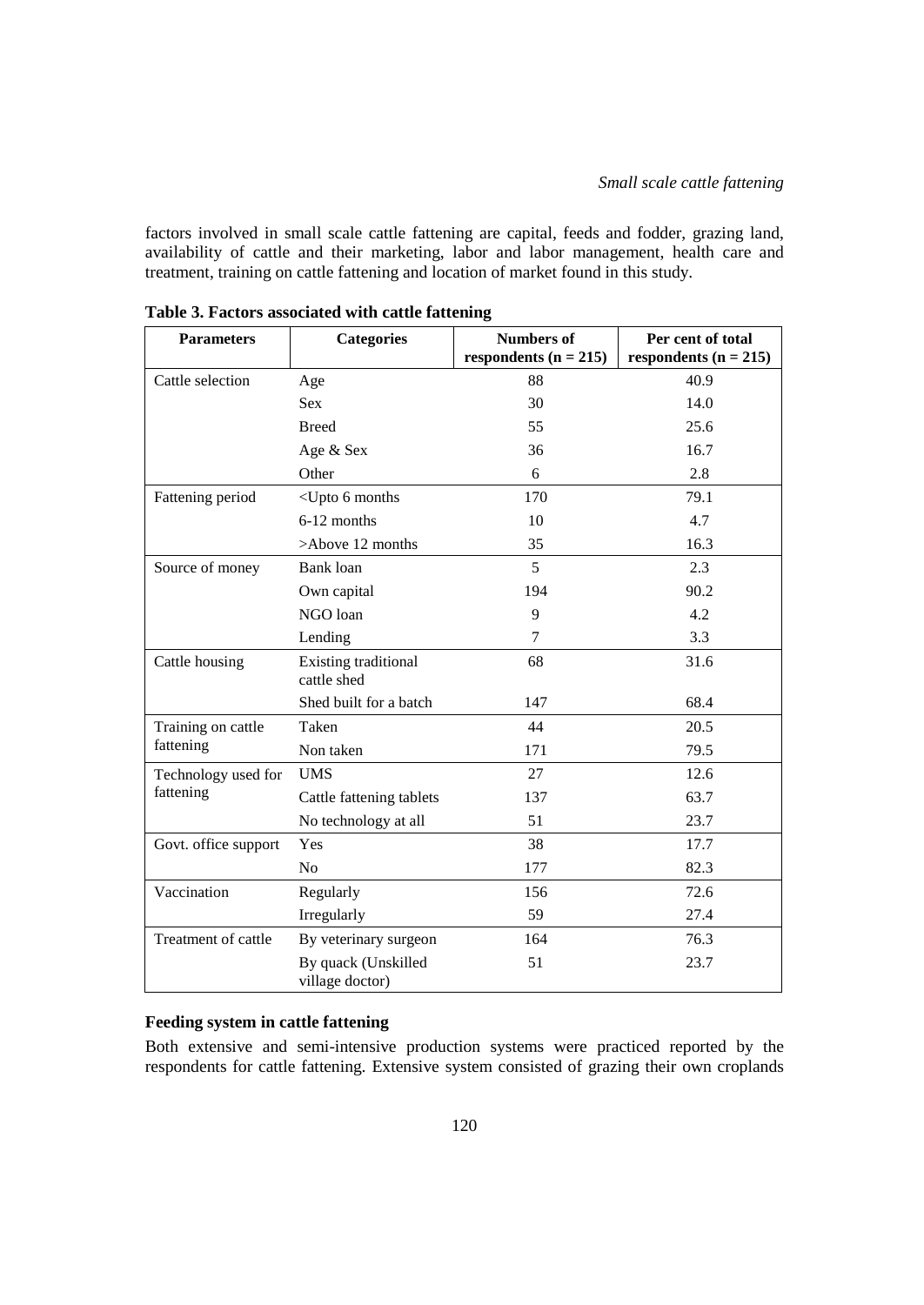factors involved in small scale cattle fattening are capital, feeds and fodder, grazing land, availability of cattle and their marketing, labor and labor management, health care and treatment, training on cattle fattening and location of market found in this study.

| <b>Parameters</b>    | <b>Categories</b>                                            | <b>Numbers of</b><br>respondents $(n = 215)$ | Per cent of total<br>respondents ( $n = 215$ ) |
|----------------------|--------------------------------------------------------------|----------------------------------------------|------------------------------------------------|
| Cattle selection     | Age                                                          | 88                                           | 40.9                                           |
|                      | <b>Sex</b>                                                   | 30                                           | 14.0                                           |
|                      | <b>Breed</b>                                                 | 55                                           | 25.6                                           |
|                      | Age & Sex                                                    | 36                                           | 16.7                                           |
|                      | Other                                                        | 6                                            | 2.8                                            |
| Fattening period     | <upto 6="" months<="" td=""><td>170</td><td>79.1</td></upto> | 170                                          | 79.1                                           |
|                      | 6-12 months                                                  | 10                                           | 4.7                                            |
|                      | >Above 12 months                                             | 35                                           | 16.3                                           |
| Source of money      | Bank loan                                                    | 5                                            | 2.3                                            |
|                      | Own capital                                                  | 194                                          | 90.2                                           |
|                      | NGO loan                                                     | 9                                            | 4.2                                            |
|                      | Lending                                                      | 7                                            | 3.3                                            |
| Cattle housing       | Existing traditional<br>cattle shed                          | 68                                           | 31.6                                           |
|                      | Shed built for a batch                                       | 147                                          | 68.4                                           |
| Training on cattle   | Taken                                                        | 44                                           | 20.5                                           |
| fattening            | Non taken                                                    | 171                                          | 79.5                                           |
| Technology used for  | <b>UMS</b>                                                   | 27                                           | 12.6                                           |
| fattening            | Cattle fattening tablets                                     | 137                                          | 63.7                                           |
|                      | No technology at all                                         | 51                                           | 23.7                                           |
| Govt. office support | Yes                                                          | 38                                           | 17.7                                           |
|                      | N <sub>o</sub>                                               | 177                                          | 82.3                                           |
| Vaccination          | Regularly                                                    | 156                                          | 72.6                                           |
|                      | Irregularly                                                  | 59                                           | 27.4                                           |
| Treatment of cattle  | By veterinary surgeon                                        | 164                                          | 76.3                                           |
|                      | By quack (Unskilled<br>village doctor)                       | 51                                           | 23.7                                           |

**Table 3. Factors associated with cattle fattening**

### **Feeding system in cattle fattening**

Both extensive and semi-intensive production systems were practiced reported by the respondents for cattle fattening. Extensive system consisted of grazing their own croplands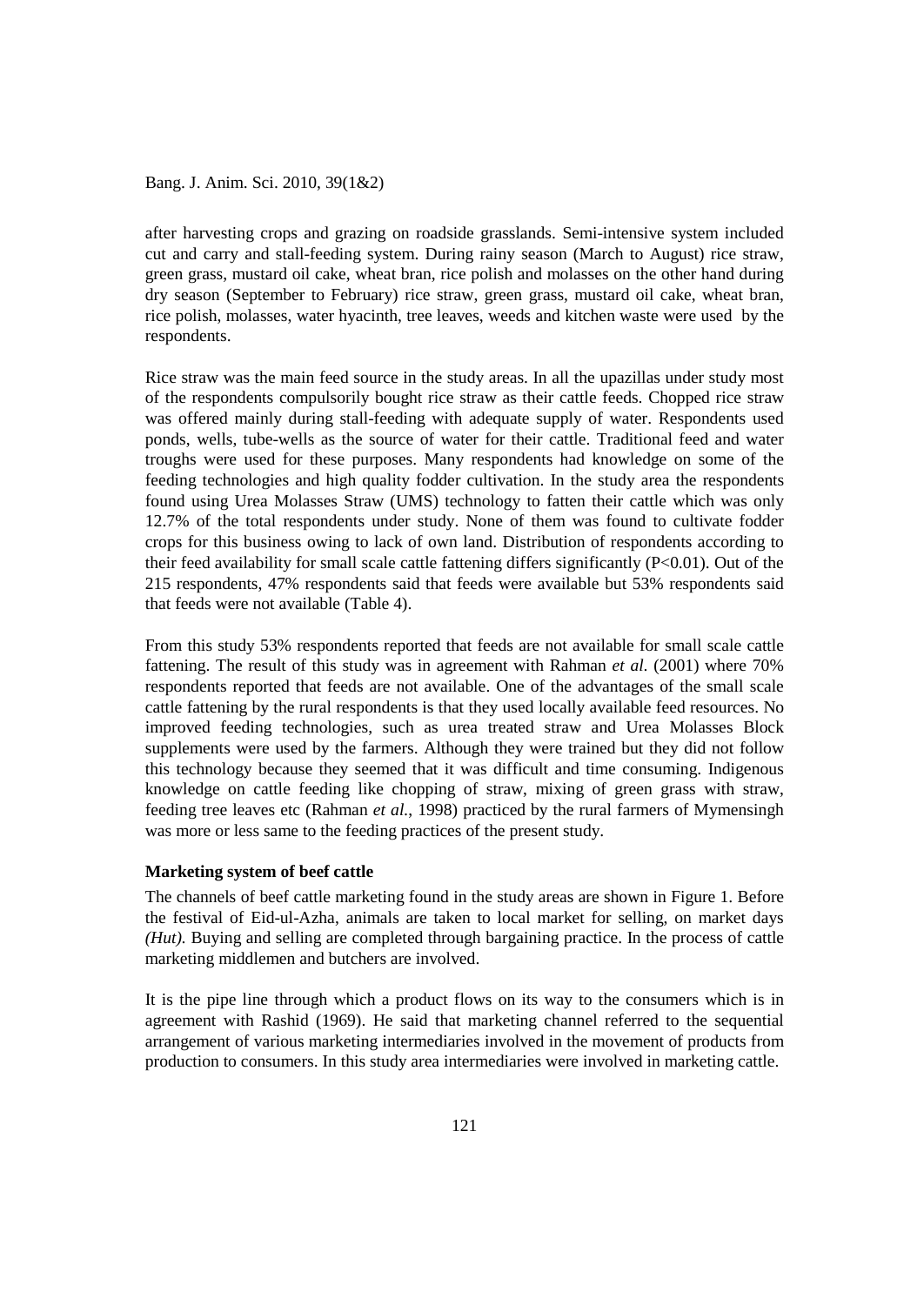after harvesting crops and grazing on roadside grasslands. Semi-intensive system included cut and carry and stall-feeding system. During rainy season (March to August) rice straw, green grass, mustard oil cake, wheat bran, rice polish and molasses on the other hand during dry season (September to February) rice straw, green grass, mustard oil cake, wheat bran, rice polish, molasses, water hyacinth, tree leaves, weeds and kitchen waste were used by the respondents.

Rice straw was the main feed source in the study areas. In all the upazillas under study most of the respondents compulsorily bought rice straw as their cattle feeds. Chopped rice straw was offered mainly during stall-feeding with adequate supply of water. Respondents used ponds, wells, tube-wells as the source of water for their cattle. Traditional feed and water troughs were used for these purposes. Many respondents had knowledge on some of the feeding technologies and high quality fodder cultivation. In the study area the respondents found using Urea Molasses Straw (UMS) technology to fatten their cattle which was only 12.7% of the total respondents under study. None of them was found to cultivate fodder crops for this business owing to lack of own land. Distribution of respondents according to their feed availability for small scale cattle fattening differs significantly (P<0.01). Out of the 215 respondents, 47% respondents said that feeds were available but 53% respondents said that feeds were not available (Table 4).

From this study 53% respondents reported that feeds are not available for small scale cattle fattening. The result of this study was in agreement with Rahman *et al.* (2001) where 70% respondents reported that feeds are not available. One of the advantages of the small scale cattle fattening by the rural respondents is that they used locally available feed resources. No improved feeding technologies, such as urea treated straw and Urea Molasses Block supplements were used by the farmers. Although they were trained but they did not follow this technology because they seemed that it was difficult and time consuming. Indigenous knowledge on cattle feeding like chopping of straw, mixing of green grass with straw, feeding tree leaves etc (Rahman *et al.*, 1998) practiced by the rural farmers of Mymensingh was more or less same to the feeding practices of the present study.

### **Marketing system of beef cattle**

The channels of beef cattle marketing found in the study areas are shown in Figure 1. Before the festival of Eid-ul-Azha, animals are taken to local market for selling, on market days *(Hut).* Buying and selling are completed through bargaining practice. In the process of cattle marketing middlemen and butchers are involved.

It is the pipe line through which a product flows on its way to the consumers which is in agreement with Rashid (1969). He said that marketing channel referred to the sequential arrangement of various marketing intermediaries involved in the movement of products from production to consumers. In this study area intermediaries were involved in marketing cattle.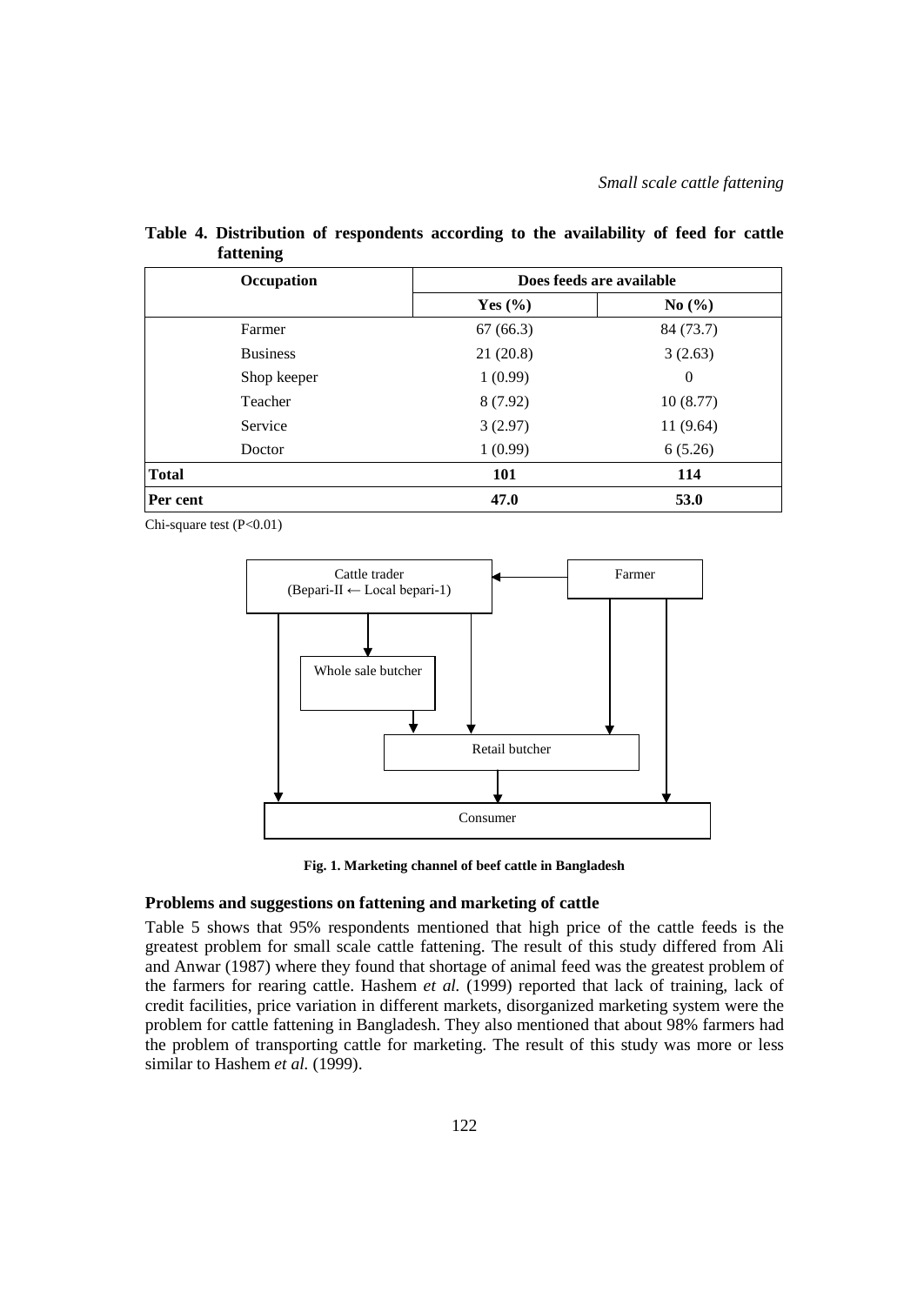|              | Occupation      | Does feeds are available |           |
|--------------|-----------------|--------------------------|-----------|
|              |                 | Yes $(\% )$              | No(%)     |
|              | Farmer          | 67(66.3)                 | 84 (73.7) |
|              | <b>Business</b> | 21(20.8)                 | 3(2.63)   |
|              | Shop keeper     | 1(0.99)                  | $\theta$  |
|              | Teacher         | 8(7.92)                  | 10(8.77)  |
|              | Service         | 3(2.97)                  | 11(9.64)  |
|              | Doctor          | 1(0.99)                  | 6(5.26)   |
| <b>Total</b> |                 | 101                      | 114       |
| Per cent     |                 | 47.0                     | 53.0      |

**Table 4. Distribution of respondents according to the availability of feed for cattle fattening** 

Chi-square test (P<0.01)



**Fig. 1. Marketing channel of beef cattle in Bangladesh**

#### **Problems and suggestions on fattening and marketing of cattle**

Table 5 shows that 95% respondents mentioned that high price of the cattle feeds is the greatest problem for small scale cattle fattening. The result of this study differed from Ali and Anwar (1987) where they found that shortage of animal feed was the greatest problem of the farmers for rearing cattle. Hashem *et al.* (1999) reported that lack of training, lack of credit facilities, price variation in different markets, disorganized marketing system were the problem for cattle fattening in Bangladesh. They also mentioned that about 98% farmers had the problem of transporting cattle for marketing. The result of this study was more or less similar to Hashem *et al.* (1999).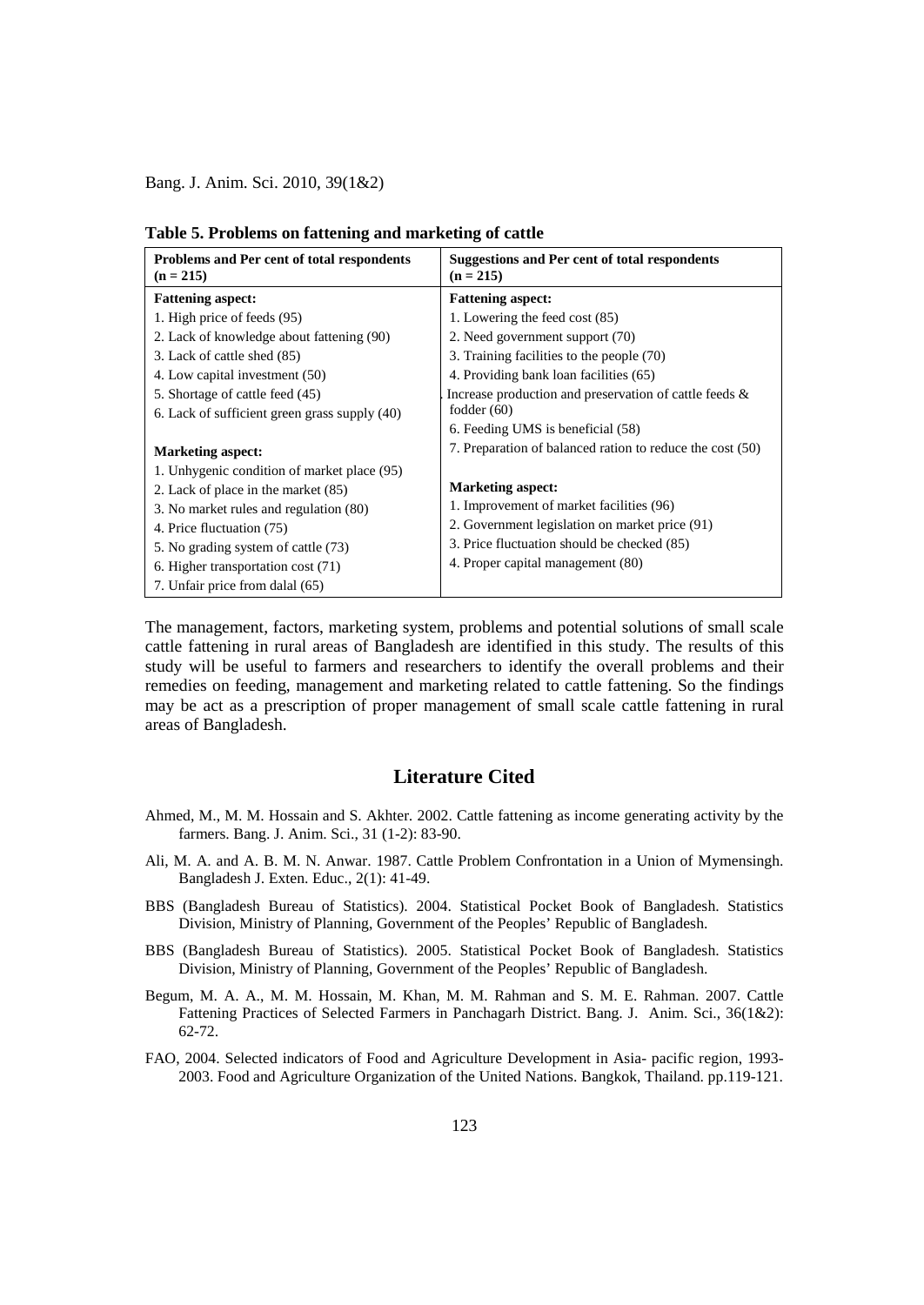| Problems and Per cent of total respondents<br>$(n = 215)$ | <b>Suggestions and Per cent of total respondents</b><br>$(n = 215)$ |  |
|-----------------------------------------------------------|---------------------------------------------------------------------|--|
| <b>Fattening aspect:</b>                                  | <b>Fattening aspect:</b>                                            |  |
| 1. High price of feeds (95)                               | 1. Lowering the feed cost (85)                                      |  |
| 2. Lack of knowledge about fattening (90)                 | 2. Need government support (70)                                     |  |
| 3. Lack of cattle shed (85)                               | 3. Training facilities to the people (70)                           |  |
| 4. Low capital investment (50)                            | 4. Providing bank loan facilities (65)                              |  |
| 5. Shortage of cattle feed (45)                           | Increase production and preservation of cattle feeds &              |  |
| 6. Lack of sufficient green grass supply (40)             | fodder $(60)$                                                       |  |
|                                                           | 6. Feeding UMS is beneficial (58)                                   |  |
| <b>Marketing aspect:</b>                                  | 7. Preparation of balanced ration to reduce the cost (50)           |  |
| 1. Unhygenic condition of market place (95)               |                                                                     |  |
| 2. Lack of place in the market (85)                       | <b>Marketing aspect:</b>                                            |  |
| 3. No market rules and regulation (80)                    | 1. Improvement of market facilities (96)                            |  |
| 4. Price fluctuation (75)                                 | 2. Government legislation on market price (91)                      |  |
| 5. No grading system of cattle (73)                       | 3. Price fluctuation should be checked (85)                         |  |
| 6. Higher transportation cost (71)                        | 4. Proper capital management (80)                                   |  |
| 7. Unfair price from dalal (65)                           |                                                                     |  |

| Table 5. Problems on fattening and marketing of cattle |  |  |
|--------------------------------------------------------|--|--|
|--------------------------------------------------------|--|--|

The management, factors, marketing system, problems and potential solutions of small scale cattle fattening in rural areas of Bangladesh are identified in this study. The results of this study will be useful to farmers and researchers to identify the overall problems and their remedies on feeding, management and marketing related to cattle fattening. So the findings may be act as a prescription of proper management of small scale cattle fattening in rural areas of Bangladesh.

### **Literature Cited**

- Ahmed, M., M. M. Hossain and S. Akhter*.* 2002. Cattle fattening as income generating activity by the farmers. Bang. J. Anim. Sci., 31 (1-2): 83-90.
- Ali, M. A. and A. B. M. N. Anwar. 1987. Cattle Problem Confrontation in a Union of Mymensingh. Bangladesh J. Exten. Educ., 2(1): 41-49.
- BBS (Bangladesh Bureau of Statistics). 2004. Statistical Pocket Book of Bangladesh. Statistics Division, Ministry of Planning, Government of the Peoples' Republic of Bangladesh.
- BBS (Bangladesh Bureau of Statistics). 2005. Statistical Pocket Book of Bangladesh. Statistics Division, Ministry of Planning, Government of the Peoples' Republic of Bangladesh.
- Begum, M. A. A., M. M. Hossain, M. Khan, M. M. Rahman and S. M. E. Rahman. 2007. Cattle Fattening Practices of Selected Farmers in Panchagarh District. Bang. J. Anim. Sci., 36(1&2): 62-72.
- FAO, 2004. Selected indicators of Food and Agriculture Development in Asia- pacific region, 1993- 2003. Food and Agriculture Organization of the United Nations. Bangkok, Thailand. pp.119-121.